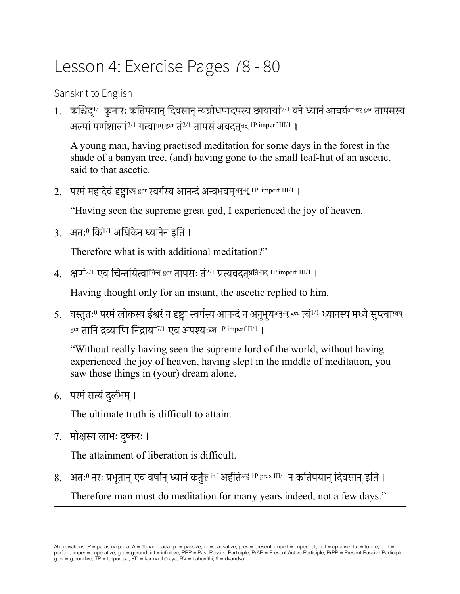## Lesson 4: Exercise Pages 78 - 80

Sanskrit to English

1. कश्चिद्<sup>1/1</sup> कुमारः कतिपयान् दिवसान् न्यग्रोधपादपस्य छायायां<sup>7/1</sup> वने ध्यानं आचर्य<sub>े "चध</sub> तापसस्य अल्पां पर्णशालां $^{2/1}$  गत्वागम् ger तं $^{2/1}$  तापसं अवदत्वद्  $^{1P}$  imperf III/1  $\parallel$ 

A young man, having practised meditation for some days in the forest in the shade of a banyan tree, (and) having gone to the small leaf-hut of an ascetic, said to that ascetic.

2. परमं महादेवं दृष्ट्वाद्द्य ger स्वर्गस्य आनन्दं अन्वभवम्<sup>अनु-भू 1P imperf III/1</sup> ।

"Having seen the supreme great god, I experienced the joy of heaven.

 $3.$  अतः $0$  किं $^{1/1}$  अधिकेन ध्यानेन इति ।

Therefore what is with additional meditation?"

 $4$ . क्षणं $^{2/1}$  एव चिन्तयित्वाचिन्त् <sup>ger</sup> तापसः तं $^{2/1}$  प्रत्यवदत् $^{\text{q}}$ प्रति-वद् IP imperf III/1 ।

Having thought only for an instant, the ascetic replied to him.

5. वस्तुतः<sup>0</sup> परमं लोकस्य ईश्वरं न दृष्ट्वा स्वर्गस्य आनन्दं न अनुभूय<sup>अनु-भू ger त्वं<sup>1/1</sup> ध्यानस्य मध्ये सुप्त्वाखप्</sup> ger तानि द्रव्याणि निदायां $^{7/1}$  एव अपश्य: Ell imperf II/1 ।

"Without really having seen the supreme lord of the world, without having experienced the joy of heaven, having slept in the middle of meditation, you saw those things in (your) dream alone.

6. परमं सत्यं दुर्लभम् ।

The ultimate truth is difficult to attain.

7. मोक्षस्य लाभः दुष्करः ।

The attainment of liberation is difficult.

8. अतःº नरः प्रभूतान् एव वर्षान् ध्यानं कर्तुंकृ inf अर्हतिअई् IP pres III/1 न कतिपयान् दिवसान् इति <mark>।</mark> Therefore man must do meditation for many years indeed, not a few days."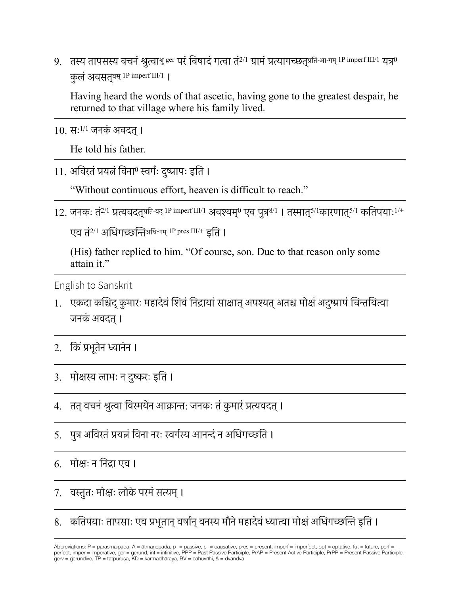9. तस्य तापसस्य वचनं श्रुत्वाश्रु ger परं विषादं गत्वा तं<sup>2/1</sup> ग्रामं प्रत्यागच्छत्<sup>प्रति-आ-गम् 1P imperf III/1</sup> यत्र<sup>0</sup> कुलं अवसतुबस् 1P imperf III/1 |

Having heard the words of that ascetic, having gone to the greatest despair, he returned to that village where his family lived.

 $10.$  सः $^{1/1}$  जनकं अवदत ।

He told his father.

11. अविरतं प्रयत्नं विना<sup>0</sup> स्वर्गः दुष्प्रापः इति ।

"Without continuous effort, heaven is difficult to reach."

12. जनकः तं<sup>2/1</sup> प्रत्यवदतुप्रति-वद् <sup>1P imperf III/1</sup> अवश्यम्<sup>0</sup> एव पुत्र<sup>8/1</sup> । तस्मात्<sup>5/1</sup>कारणातु<sup>5/1</sup> कतिपयाः<sup>1/+</sup>

एव तं<sup>2/1</sup> अधिगच्छन्तिअधि-गम् <sup>1P pres III/+</sup> इति ।

(His) father replied to him. "Of course, son. Due to that reason only some attain it."

English to Sanskrit

- 1. एकदा कश्चिद् कुमारः महादेवं शिवं निद्रायां साक्षात् अपश्यत् अतश्च मोक्षं अदुष्प्रापं चिन्तयित्वा जनकं अवदत् ।
- 2. किं प्रभूतेन ध्यानेन ।
- 3. मोक्षस्य लाभः न दुष्करः इति ।
- 4. तत् वचनं श्रुत्वा विस्मयेन आक्रान्त: जनकः तं कुमारं प्रत्यवदत् ।
- 5. पुत्र अविरतं प्रयत्नं विना नरः स्वर्गस्य आनन्दं न अधिगच्छति ।

6. मोक्षः न निद्रा एव ।

7. वस्तुतः मोक्षः लोके परमं सत्यम् ।

8. कतिपयाः तापसाः एव प्रभूतान् वर्षान् वनस्य मौने महादेवं ध्यात्वा मोक्षं अधिगच्छन्ति इति ।

Abbreviations: P = parasmaipada, A = ātmanepada, p- = passive, c- = causative, pres = present, imperf = imperfect, opt = optative, fut = future, perf = versionalism in peralting and the infinitive, PPP = Past Passive Participle, PrAP = Present Active Participle, PrPP = Present Passive Participle, Present Passive Participle, Present Passive Participle, Present Passive Part